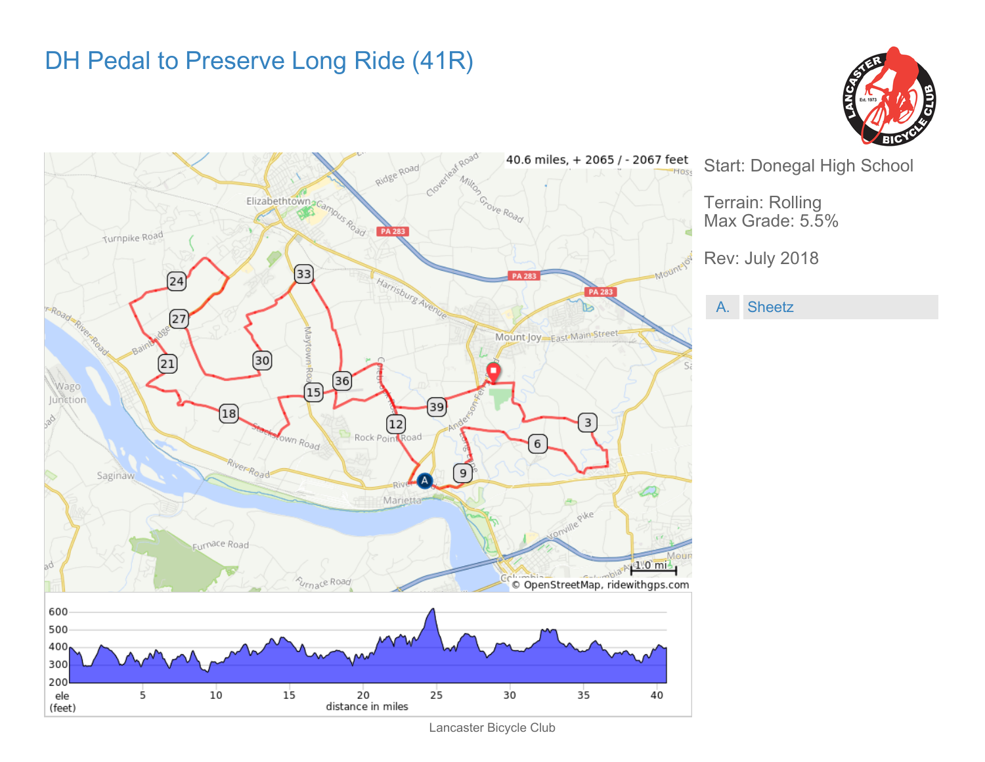## DH Pedal to Preserve Long Ride (41R)